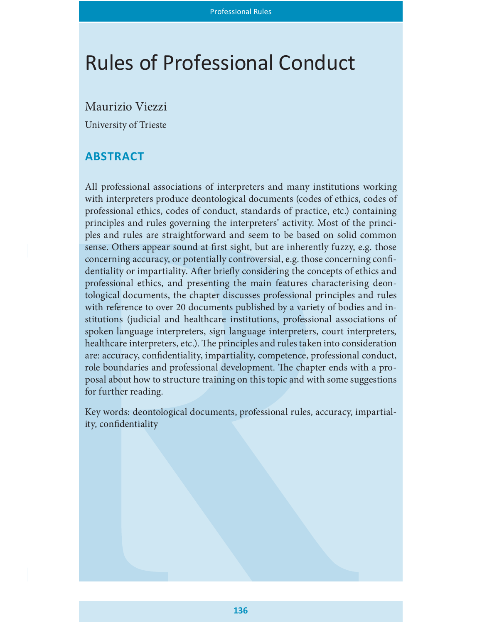# Rules of Professional Conduct

Maurizio Viezzi

University of Trieste

# **ABSTRACT**

All professional associations of interpreters and many institutions working with interpreters produce deontological documents (codes of ethics, codes of professional ethics, codes of conduct, standards of practice, etc.) containing principles and rules governing the interpreters' activity. Most of the principles and rules are straightforward and seem to be based on solid common sense. Others appear sound at first sight, but are inherently fuzzy, e.g. those concerning accuracy, or potentially controversial, e.g. those concerning confidentiality or impartiality. After briefly considering the concepts of ethics and professional ethics, and presenting the main features characterising deontological documents, the chapter discusses professional principles and rules with reference to over 20 documents published by a variety of bodies and institutions (judicial and healthcare institutions, professional associations of spoken language interpreters, sign language interpreters, court interpreters, healthcare interpreters, etc.). The principles and rules taken into consideration are: accuracy, confidentiality, impartiality, competence, professional conduct, role boundaries and professional development. The chapter ends with a proposal about how to structure training on this topic and with some suggestions for further reading.

Key words: deontological documents, professional rules, accuracy, impartiality, confidentiality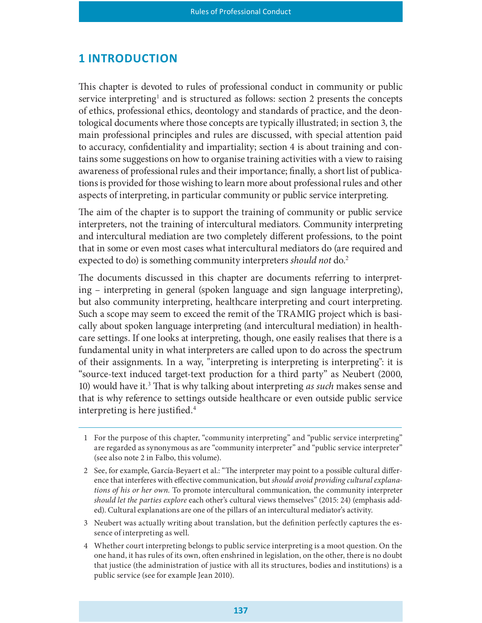### **1 INTRODUCTION**

This chapter is devoted to rules of professional conduct in community or public service interpreting<sup>1</sup> and is structured as follows: section 2 presents the concepts of ethics, professional ethics, deontology and standards of practice, and the deontological documents where those concepts are typically illustrated; in section 3, the main professional principles and rules are discussed, with special attention paid to accuracy, confidentiality and impartiality; section 4 is about training and contains some suggestions on how to organise training activities with a view to raising awareness of professional rules and their importance; finally, a short list of publications is provided for those wishing to learn more about professional rules and other aspects of interpreting, in particular community or public service interpreting.

The aim of the chapter is to support the training of community or public service interpreters, not the training of intercultural mediators. Community interpreting and intercultural mediation are two completely different professions, to the point that in some or even most cases what intercultural mediators do (are required and expected to do) is something community interpreters *should not* do.<sup>2</sup>

The documents discussed in this chapter are documents referring to interpreting – interpreting in general (spoken language and sign language interpreting), but also community interpreting, healthcare interpreting and court interpreting. Such a scope may seem to exceed the remit of the TRAMIG project which is basically about spoken language interpreting (and intercultural mediation) in healthcare settings. If one looks at interpreting, though, one easily realises that there is a fundamental unity in what interpreters are called upon to do across the spectrum of their assignments. In a way, "interpreting is interpreting is interpreting": it is "source-text induced target-text production for a third party" as Neubert (2000, 10) would have it.<sup>3</sup> That is why talking about interpreting as such makes sense and that is why reference to settings outside healthcare or even outside public service interpreting is here justified. $4$ 

- 1 For the purpose of this chapter, "community interpreting" and "public service interpreting" are regarded as synonymous as are "community interpreter" and "public service interpreter" (see also note 2 in Falbo, this volume).
- 2 See, for example, García-Beyaert et al.: "The interpreter may point to a possible cultural difference that interferes with effective communication, but should avoid providing cultural explanations of his or her own. To promote intercultural communication, the community interpreter should let the parties explore each other's cultural views themselves" (2015: 24) (emphasis added). Cultural explanations are one of the pillars of an intercultural mediator's activity.
- 3 Neubert was actually writing about translation, but the definition perfectly captures the essence of interpreting as well.
- 4 Whether court interpreting belongs to public service interpreting is a moot question. On the one hand, it has rules of its own, often enshrined in legislation, on the other, there is no doubt that justice (the administration of justice with all its structures, bodies and institutions) is a public service (see for example Jean 2010).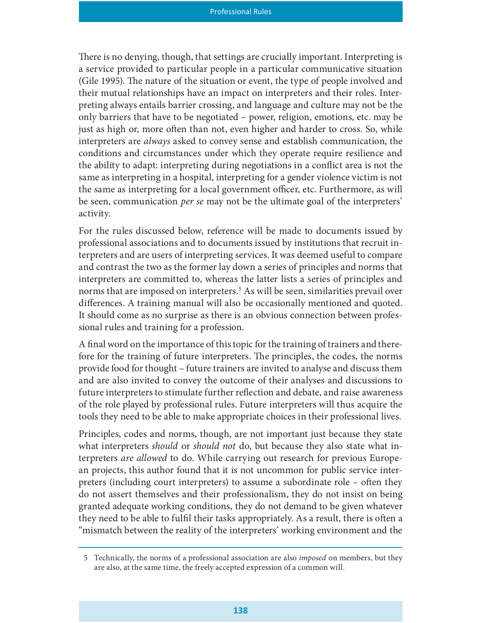There is no denying, though, that settings are crucially important. Interpreting is a service provided to particular people in a particular communicative situation (Gile 1995). The nature of the situation or event, the type of people involved and their mutual relationships have an impact on interpreters and their roles. Interpreting always entails barrier crossing, and language and culture may not be the only barriers that have to be negotiated – power, religion, emotions, etc. may be just as high or, more often than not, even higher and harder to cross. So, while interpreters are always asked to convey sense and establish communication, the conditions and circumstances under which they operate require resilience and the ability to adapt: interpreting during negotiations in a conflict area is not the same as interpreting in a hospital, interpreting for a gender violence victim is not the same as interpreting for a local government officer, etc. Furthermore, as will be seen, communication per se may not be the ultimate goal of the interpreters' activity.

For the rules discussed below, reference will be made to documents issued by professional associations and to documents issued by institutions that recruit interpreters and are users of interpreting services. It was deemed useful to compare and contrast the two as the former lay down a series of principles and norms that interpreters are committed to, whereas the latter lists a series of principles and norms that are imposed on interpreters.<sup>5</sup> As will be seen, similarities prevail over differences. A training manual will also be occasionally mentioned and quoted. It should come as no surprise as there is an obvious connection between professional rules and training for a profession.

A final word on the importance of this topic for the training of trainers and therefore for the training of future interpreters. The principles, the codes, the norms provide food for thought – future trainers are invited to analyse and discuss them and are also invited to convey the outcome of their analyses and discussions to future interpreters to stimulate further reflection and debate, and raise awareness of the role played by professional rules. Future interpreters will thus acquire the tools they need to be able to make appropriate choices in their professional lives.

Principles, codes and norms, though, are not important just because they state what interpreters *should* or *should not* do, but because they also state what interpreters are allowed to do. While carrying out research for previous European projects, this author found that it is not uncommon for public service interpreters (including court interpreters) to assume a subordinate role  $-$  often they do not assert themselves and their professionalism, they do not insist on being granted adequate working conditions, they do not demand to be given whatever they need to be able to fulfil their tasks appropriately. As a result, there is often a "mismatch between the reality of the interpreters' working environment and the

<sup>5</sup> Technically, the norms of a professional association are also imposed on members, but they are also, at the same time, the freely accepted expression of a common will.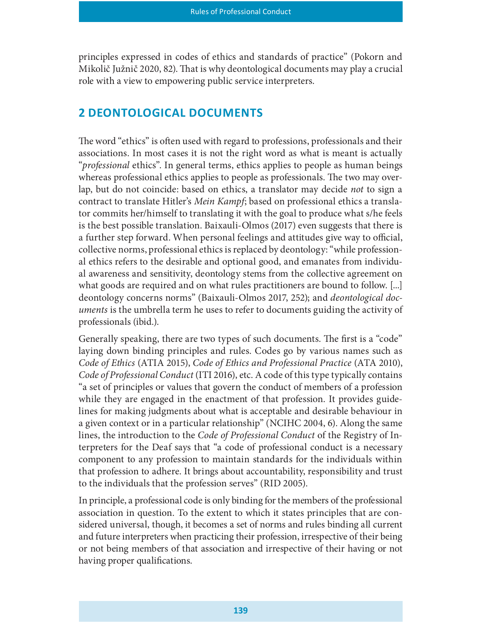principles expressed in codes of ethics and standards of practice" (Pokorn and Mikolič Južnič 2020, 82). That is why deontological documents may play a crucial role with a view to empowering public service interpreters.

## 2 DEONTOLOGICAL DOCUMENTS

The word "ethics" is often used with regard to professions, professionals and their associations. In most cases it is not the right word as what is meant is actually "*professional* ethics". In general terms, ethics applies to people as human beings whereas professional ethics applies to people as professionals. The two may overlap, but do not coincide: based on ethics, a translator may decide not to sign a contract to translate Hitler's Mein Kampf; based on professional ethics a translator commits her/himself to translating it with the goal to produce what s/he feels is the best possible translation. Baixauli-Olmos (2017) even suggests that there is a further step forward. When personal feelings and attitudes give way to official, collective norms, professional ethics is replaced by deontology: "while professional ethics refers to the desirable and optional good, and emanates from individual awareness and sensitivity, deontology stems from the collective agreement on what goods are required and on what rules practitioners are bound to follow. [...] deontology concerns norms" (Baixauli-Olmos 2017, 252); and deontological documents is the umbrella term he uses to refer to documents guiding the activity of professionals (ibid.).

Generally speaking, there are two types of such documents. The first is a "code" laying down binding principles and rules. Codes go by various names such as Code of Ethics (ATIA 2015), Code of Ethics and Professional Practice (ATA 2010), Code of Professional Conduct (ITI 2016), etc. A code of this type typically contains "a set of principles or values that govern the conduct of members of a profession while they are engaged in the enactment of that profession. It provides guidelines for making judgments about what is acceptable and desirable behaviour in a given context or in a particular relationship" (NCIHC 2004, 6). Along the same lines, the introduction to the Code of Professional Conduct of the Registry of Interpreters for the Deaf says that "a code of professional conduct is a necessary component to any profession to maintain standards for the individuals within that profession to adhere. It brings about accountability, responsibility and trust to the individuals that the profession serves" (RID 2005).

In principle, a professional code is only binding for the members of the professional association in question. To the extent to which it states principles that are considered universal, though, it becomes a set of norms and rules binding all current and future interpreters when practicing their profession, irrespective of their being or not being members of that association and irrespective of their having or not having proper qualifications.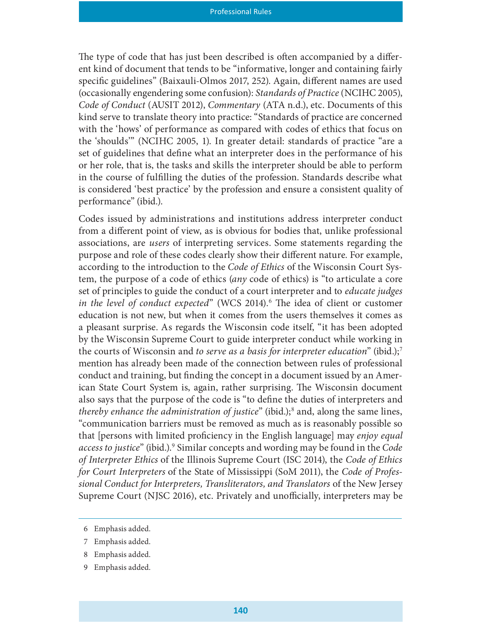The type of code that has just been described is often accompanied by a different kind of document that tends to be "informative, longer and containing fairly specific guidelines" (Baixauli-Olmos 2017, 252). Again, different names are used (occasionally engendering some confusion): Standards of Practice (NCIHC 2005), Code of Conduct (AUSIT 2012), Commentary (ATA n.d.), etc. Documents of this kind serve to translate theory into practice: "Standards of practice are concerned with the 'hows' of performance as compared with codes of ethics that focus on the 'shoulds'" (NCIHC 2005, 1). In greater detail: standards of practice "are a set of guidelines that define what an interpreter does in the performance of his or her role, that is, the tasks and skills the interpreter should be able to perform in the course of fullling the duties of the profession. Standards describe what is considered 'best practice' by the profession and ensure a consistent quality of performance" (ibid.).

Codes issued by administrations and institutions address interpreter conduct from a different point of view, as is obvious for bodies that, unlike professional associations, are users of interpreting services. Some statements regarding the purpose and role of these codes clearly show their different nature. For example, according to the introduction to the *Code of Ethics* of the Wisconsin Court System, the purpose of a code of ethics (any code of ethics) is "to articulate a core set of principles to guide the conduct of a court interpreter and to educate judges in the level of conduct expected" (WCS 2014).<sup>6</sup> The idea of client or customer education is not new, but when it comes from the users themselves it comes as a pleasant surprise. As regards the Wisconsin code itself, "it has been adopted by the Wisconsin Supreme Court to guide interpreter conduct while working in the courts of Wisconsin and to serve as a basis for interpreter education" (ibid.);<sup>7</sup> mention has already been made of the connection between rules of professional conduct and training, but finding the concept in a document issued by an American State Court System is, again, rather surprising. The Wisconsin document also says that the purpose of the code is "to define the duties of interpreters and thereby enhance the administration of justice" (ibid.);<sup>8</sup> and, along the same lines, "communication barriers must be removed as much as is reasonably possible so that [persons with limited proficiency in the English language] may enjoy equal access to justice" (ibid.).<sup>9</sup> Similar concepts and wording may be found in the Code of Interpreter Ethics of the Illinois Supreme Court (ISC 2014), the Code of Ethics for Court Interpreters of the State of Mississippi (SoM 2011), the Code of Professional Conduct for Interpreters, Transliterators, and Translators of the New Jersey Supreme Court (NJSC 2016), etc. Privately and unofficially, interpreters may be

<sup>6</sup> Emphasis added.

<sup>7</sup> Emphasis added.

<sup>8</sup> Emphasis added.

<sup>9</sup> Emphasis added.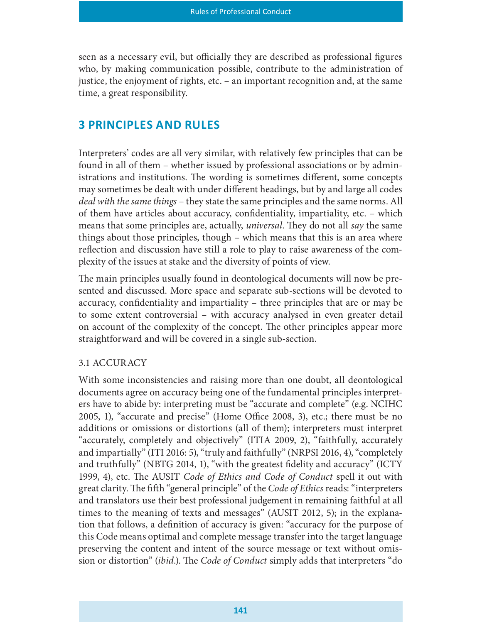seen as a necessary evil, but officially they are described as professional figures who, by making communication possible, contribute to the administration of justice, the enjoyment of rights, etc. – an important recognition and, at the same time, a great responsibility.

## **3 PRINCIPLES AND RULES**

Interpreters' codes are all very similar, with relatively few principles that can be found in all of them – whether issued by professional associations or by administrations and institutions. The wording is sometimes different, some concepts may sometimes be dealt with under different headings, but by and large all codes deal with the same things – they state the same principles and the same norms. All of them have articles about accuracy, condentiality, impartiality, etc. – which means that some principles are, actually, *universal*. They do not all say the same things about those principles, though – which means that this is an area where reflection and discussion have still a role to play to raise awareness of the complexity of the issues at stake and the diversity of points of view.

The main principles usually found in deontological documents will now be presented and discussed. More space and separate sub-sections will be devoted to accuracy, confidentiality and impartiality – three principles that are or may be to some extent controversial – with accuracy analysed in even greater detail on account of the complexity of the concept. The other principles appear more straightforward and will be covered in a single sub-section.

#### 3.1 ACCURACY

With some inconsistencies and raising more than one doubt, all deontological documents agree on accuracy being one of the fundamental principles interpreters have to abide by: interpreting must be "accurate and complete" (e.g. NCIHC 2005, 1), "accurate and precise" (Home Office 2008, 3), etc.; there must be no additions or omissions or distortions (all of them); interpreters must interpret "accurately, completely and objectively" (ITIA 2009, 2), "faithfully, accurately and impartially" (ITI 2016: 5), "truly and faithfully" (NRPSI 2016, 4), "completely and truthfully" (NBTG 2014, 1), "with the greatest fidelity and accuracy" (ICTY 1999, 4), etc. The AUSIT Code of Ethics and Code of Conduct spell it out with great clarity. The fifth "general principle" of the Code of Ethics reads: "interpreters and translators use their best professional judgement in remaining faithful at all times to the meaning of texts and messages" (AUSIT 2012, 5); in the explanation that follows, a definition of accuracy is given: "accuracy for the purpose of this Code means optimal and complete message transfer into the target language preserving the content and intent of the source message or text without omission or distortion" *(ibid.)*. The *Code of Conduct* simply adds that interpreters "do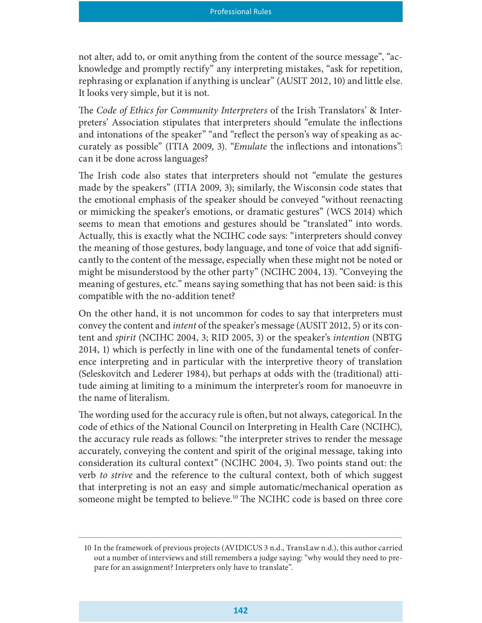not alter, add to, or omit anything from the content of the source message", "acknowledge and promptly rectify" any interpreting mistakes, "ask for repetition, rephrasing or explanation if anything is unclear" (AUSIT 2012, 10) and little else. It looks very simple, but it is not.

The Code of Ethics for Community Interpreters of the Irish Translators' & Interpreters' Association stipulates that interpreters should "emulate the inflections" and intonations of the speaker" "and "reflect the person's way of speaking as accurately as possible" (ITIA 2009, 3). "*Emulate* the inflections and intonations": can it be done across languages?

The Irish code also states that interpreters should not "emulate the gestures" made by the speakers" (ITIA 2009, 3); similarly, the Wisconsin code states that the emotional emphasis of the speaker should be conveyed "without reenacting or mimicking the speaker's emotions, or dramatic gestures" (WCS 2014) which seems to mean that emotions and gestures should be "translated" into words. Actually, this is exactly what the NCIHC code says: "interpreters should convey the meaning of those gestures, body language, and tone of voice that add significantly to the content of the message, especially when these might not be noted or might be misunderstood by the other party" (NCIHC 2004, 13). "Conveying the meaning of gestures, etc." means saying something that has not been said: is this compatible with the no-addition tenet?

On the other hand, it is not uncommon for codes to say that interpreters must convey the content and intent of the speaker's message (AUSIT 2012, 5) or its content and spirit (NCIHC 2004, 3; RID 2005, 3) or the speaker's intention (NBTG 2014, 1) which is perfectly in line with one of the fundamental tenets of conference interpreting and in particular with the interpretive theory of translation (Seleskovitch and Lederer 1984), but perhaps at odds with the (traditional) attitude aiming at limiting to a minimum the interpreter's room for manoeuvre in the name of literalism.

The wording used for the accuracy rule is often, but not always, categorical. In the code of ethics of the National Council on Interpreting in Health Care (NCIHC), the accuracy rule reads as follows: "the interpreter strives to render the message accurately, conveying the content and spirit of the original message, taking into consideration its cultural context" (NCIHC 2004, 3). Two points stand out: the verb to strive and the reference to the cultural context, both of which suggest that interpreting is not an easy and simple automatic/mechanical operation as someone might be tempted to believe.<sup>10</sup> The NCIHC code is based on three core

<sup>10</sup> In the framework of previous projects (AVIDICUS 3 n.d., TransLaw n.d.), this author carried out a number of interviews and still remembers a judge saying: "why would they need to prepare for an assignment? Interpreters only have to translate".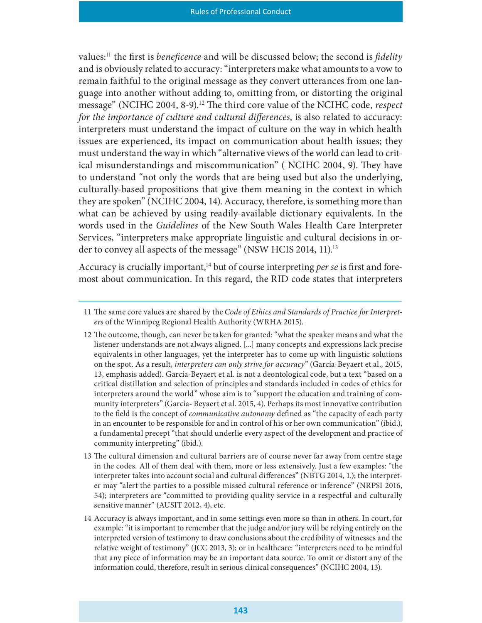values:<sup>11</sup> the first is *beneficence* and will be discussed below; the second is *fidelity* and is obviously related to accuracy: "interpreters make what amounts to a vow to remain faithful to the original message as they convert utterances from one language into another without adding to, omitting from, or distorting the original message" (NCIHC 2004, 8-9).<sup>12</sup> The third core value of the NCIHC code, respect for the importance of culture and cultural differences, is also related to accuracy: interpreters must understand the impact of culture on the way in which health issues are experienced, its impact on communication about health issues; they must understand the way in which "alternative views of the world can lead to critical misunderstandings and miscommunication" (NCIHC 2004, 9). They have to understand "not only the words that are being used but also the underlying, culturally-based propositions that give them meaning in the context in which they are spoken" (NCIHC 2004, 14). Accuracy, therefore, is something more than what can be achieved by using readily-available dictionary equivalents. In the words used in the Guidelines of the New South Wales Health Care Interpreter Services, "interpreters make appropriate linguistic and cultural decisions in order to convey all aspects of the message" (NSW HCIS 2014, 11).<sup>13</sup>

Accuracy is crucially important,<sup>14</sup> but of course interpreting *per se* is first and foremost about communication. In this regard, the RID code states that interpreters

- 12 The outcome, though, can never be taken for granted: "what the speaker means and what the listener understands are not always aligned. [...] many concepts and expressions lack precise equivalents in other languages, yet the interpreter has to come up with linguistic solutions on the spot. As a result, interpreters can only strive for accuracy" (García-Beyaert et al., 2015, 13, emphasis added). García-Beyaert et al. is not a deontological code, but a text "based on a critical distillation and selection of principles and standards included in codes of ethics for interpreters around the world" whose aim is to "support the education and training of community interpreters" (García- Beyaert et al. 2015, 4). Perhaps its most innovative contribution to the field is the concept of *communicative autonomy* defined as "the capacity of each party in an encounter to be responsible for and in control of his or her own communication" (ibid.), a fundamental precept "that should underlie every aspect of the development and practice of community interpreting" (ibid.).
- 13 The cultural dimension and cultural barriers are of course never far away from centre stage in the codes. All of them deal with them, more or less extensively. Just a few examples: "the interpreter takes into account social and cultural differences" (NBTG 2014, 1.); the interpreter may "alert the parties to a possible missed cultural reference or inference" (NRPSI 2016, 54); interpreters are "committed to providing quality service in a respectful and culturally sensitive manner" (AUSIT 2012, 4), etc.
- 14 Accuracy is always important, and in some settings even more so than in others. In court, for example: "it is important to remember that the judge and/or jury will be relying entirely on the interpreted version of testimony to draw conclusions about the credibility of witnesses and the relative weight of testimony" (JCC 2013, 3); or in healthcare: "interpreters need to be mindful that any piece of information may be an important data source. To omit or distort any of the information could, therefore, result in serious clinical consequences" (NCIHC 2004, 13).

<sup>11</sup> The same core values are shared by the Code of Ethics and Standards of Practice for Interpreters of the Winnipeg Regional Health Authority (WRHA 2015).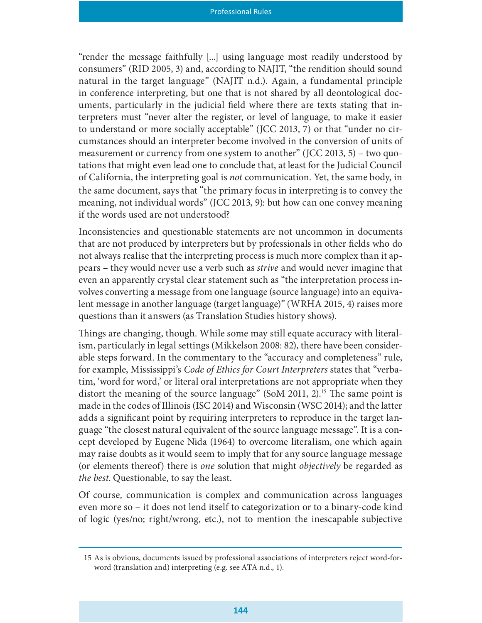"render the message faithfully [...] using language most readily understood by consumers" (RID 2005, 3) and, according to NAJIT, "the rendition should sound natural in the target language" (NAJIT n.d.). Again, a fundamental principle in conference interpreting, but one that is not shared by all deontological documents, particularly in the judicial field where there are texts stating that interpreters must "never alter the register, or level of language, to make it easier to understand or more socially acceptable" (JCC 2013, 7) or that "under no circumstances should an interpreter become involved in the conversion of units of measurement or currency from one system to another" (JCC 2013, 5) – two quotations that might even lead one to conclude that, at least for the Judicial Council of California, the interpreting goal is not communication. Yet, the same body, in the same document, says that "the primary focus in interpreting is to convey the meaning, not individual words" (JCC 2013, 9): but how can one convey meaning if the words used are not understood?

Inconsistencies and questionable statements are not uncommon in documents that are not produced by interpreters but by professionals in other fields who do not always realise that the interpreting process is much more complex than it appears – they would never use a verb such as strive and would never imagine that even an apparently crystal clear statement such as "the interpretation process involves converting a message from one language (source language) into an equivalent message in another language (target language)" (WRHA 2015, 4) raises more questions than it answers (as Translation Studies history shows).

Things are changing, though. While some may still equate accuracy with literalism, particularly in legal settings (Mikkelson 2008: 82), there have been considerable steps forward. In the commentary to the "accuracy and completeness" rule, for example, Mississippi's Code of Ethics for Court Interpreters states that "verbatim, 'word for word,' or literal oral interpretations are not appropriate when they distort the meaning of the source language" (SoM 2011, 2).<sup>15</sup> The same point is made in the codes of Illinois (ISC 2014) and Wisconsin (WSC 2014); and the latter adds a signicant point by requiring interpreters to reproduce in the target language "the closest natural equivalent of the source language message". It is a concept developed by Eugene Nida (1964) to overcome literalism, one which again may raise doubts as it would seem to imply that for any source language message (or elements thereof) there is *one* solution that might *objectively* be regarded as the best. Questionable, to say the least.

Of course, communication is complex and communication across languages even more so – it does not lend itself to categorization or to a binary-code kind of logic (yes/no; right/wrong, etc.), not to mention the inescapable subjective

<sup>15</sup> As is obvious, documents issued by professional associations of interpreters reject word-forword (translation and) interpreting (e.g. see ATA n.d., 1).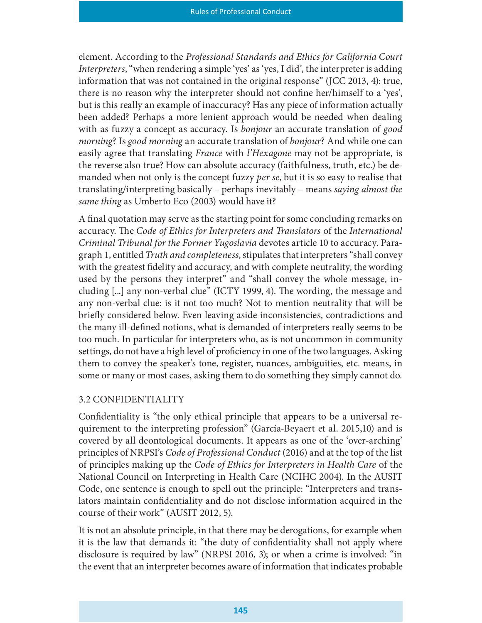element. According to the Professional Standards and Ethics for California Court Interpreters, "when rendering a simple 'yes' as 'yes, I did', the interpreter is adding information that was not contained in the original response" (JCC 2013, 4): true, there is no reason why the interpreter should not confine her/himself to a 'yes', but is this really an example of inaccuracy? Has any piece of information actually been added? Perhaps a more lenient approach would be needed when dealing with as fuzzy a concept as accuracy. Is bonjour an accurate translation of good morning? Is good morning an accurate translation of bonjour? And while one can easily agree that translating *France* with *l'Hexagone* may not be appropriate, is the reverse also true? How can absolute accuracy (faithfulness, truth, etc.) be demanded when not only is the concept fuzzy *per se*, but it is so easy to realise that translating/interpreting basically – perhaps inevitably – means saying almost the same thing as Umberto Eco (2003) would have it?

A final quotation may serve as the starting point for some concluding remarks on accuracy. The Code of Ethics for Interpreters and Translators of the International Criminal Tribunal for the Former Yugoslavia devotes article 10 to accuracy. Paragraph 1, entitled Truth and completeness, stipulates that interpreters "shall convey with the greatest fidelity and accuracy, and with complete neutrality, the wording used by the persons they interpret" and "shall convey the whole message, including  $[...]$  any non-verbal clue" (ICTY 1999, 4). The wording, the message and any non-verbal clue: is it not too much? Not to mention neutrality that will be briefly considered below. Even leaving aside inconsistencies, contradictions and the many ill-defined notions, what is demanded of interpreters really seems to be too much. In particular for interpreters who, as is not uncommon in community settings, do not have a high level of proficiency in one of the two languages. Asking them to convey the speaker's tone, register, nuances, ambiguities, etc. means, in some or many or most cases, asking them to do something they simply cannot do.

#### 3.2 CONFIDENTIALITY

Confidentiality is "the only ethical principle that appears to be a universal requirement to the interpreting profession" (García-Beyaert et al. 2015,10) and is covered by all deontological documents. It appears as one of the 'over-arching' principles of NRPSI's Code of Professional Conduct (2016) and at the top of the list of principles making up the Code of Ethics for Interpreters in Health Care of the National Council on Interpreting in Health Care (NCIHC 2004). In the AUSIT Code, one sentence is enough to spell out the principle: "Interpreters and translators maintain confidentiality and do not disclose information acquired in the course of their work" (AUSIT 2012, 5).

It is not an absolute principle, in that there may be derogations, for example when it is the law that demands it: "the duty of confidentiality shall not apply where disclosure is required by law" (NRPSI 2016, 3); or when a crime is involved: "in the event that an interpreter becomes aware of information that indicates probable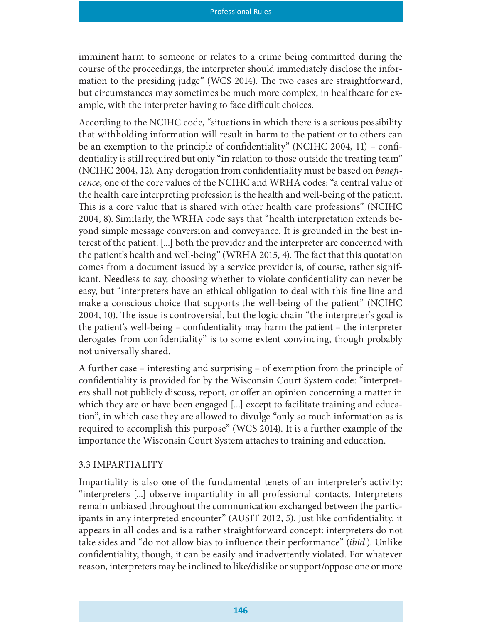imminent harm to someone or relates to a crime being committed during the course of the proceedings, the interpreter should immediately disclose the information to the presiding judge" (WCS 2014). The two cases are straightforward, but circumstances may sometimes be much more complex, in healthcare for example, with the interpreter having to face difficult choices.

According to the NCIHC code, "situations in which there is a serious possibility that withholding information will result in harm to the patient or to others can be an exemption to the principle of confidentiality" (NCIHC 2004, 11) – confidentiality is still required but only "in relation to those outside the treating team" (NCIHC 2004, 12). Any derogation from confidentiality must be based on *benefi*cence, one of the core values of the NCIHC and WRHA codes: "a central value of the health care interpreting profession is the health and well-being of the patient. This is a core value that is shared with other health care professions" (NCIHC 2004, 8). Similarly, the WRHA code says that "health interpretation extends beyond simple message conversion and conveyance. It is grounded in the best interest of the patient. [...] both the provider and the interpreter are concerned with the patient's health and well-being" (WRHA 2015, 4). The fact that this quotation comes from a document issued by a service provider is, of course, rather significant. Needless to say, choosing whether to violate condentiality can never be easy, but "interpreters have an ethical obligation to deal with this fine line and make a conscious choice that supports the well-being of the patient" (NCIHC 2004, 10). The issue is controversial, but the logic chain "the interpreter's goal is the patient's well-being – condentiality may harm the patient – the interpreter derogates from confidentiality" is to some extent convincing, though probably not universally shared.

A further case – interesting and surprising – of exemption from the principle of confidentiality is provided for by the Wisconsin Court System code: "interpreters shall not publicly discuss, report, or offer an opinion concerning a matter in which they are or have been engaged [...] except to facilitate training and education", in which case they are allowed to divulge "only so much information as is required to accomplish this purpose" (WCS 2014). It is a further example of the importance the Wisconsin Court System attaches to training and education.

#### 3.3 IMPARTIALITY

Impartiality is also one of the fundamental tenets of an interpreter's activity: "interpreters [...] observe impartiality in all professional contacts. Interpreters remain unbiased throughout the communication exchanged between the participants in any interpreted encounter" (AUSIT 2012, 5). Just like confidentiality, it appears in all codes and is a rather straightforward concept: interpreters do not take sides and "do not allow bias to influence their performance" *(ibid.)*. Unlike confidentiality, though, it can be easily and inadvertently violated. For whatever reason, interpreters may be inclined to like/dislike or support/oppose one or more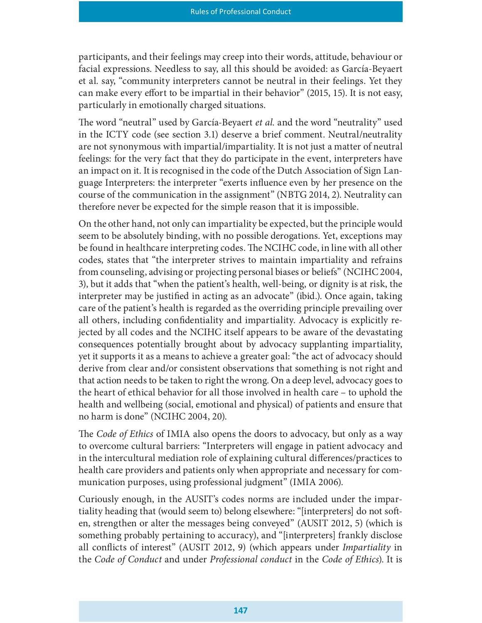participants, and their feelings may creep into their words, attitude, behaviour or facial expressions. Needless to say, all this should be avoided: as García-Beyaert et al. say, "community interpreters cannot be neutral in their feelings. Yet they can make every effort to be impartial in their behavior" (2015, 15). It is not easy, particularly in emotionally charged situations.

The word "neutral" used by García-Beyaert et al. and the word "neutrality" used in the ICTY code (see section 3.1) deserve a brief comment. Neutral/neutrality are not synonymous with impartial/impartiality. It is not just a matter of neutral feelings: for the very fact that they do participate in the event, interpreters have an impact on it. It is recognised in the code of the Dutch Association of Sign Language Interpreters: the interpreter "exerts influence even by her presence on the course of the communication in the assignment" (NBTG 2014, 2). Neutrality can therefore never be expected for the simple reason that it is impossible.

On the other hand, not only can impartiality be expected, but the principle would seem to be absolutely binding, with no possible derogations. Yet, exceptions may be found in healthcare interpreting codes. The NCIHC code, in line with all other codes, states that "the interpreter strives to maintain impartiality and refrains from counseling, advising or projecting personal biases or beliefs" (NCIHC 2004, 3), but it adds that "when the patient's health, well-being, or dignity is at risk, the interpreter may be justified in acting as an advocate" (ibid.). Once again, taking care of the patient's health is regarded as the overriding principle prevailing over all others, including confidentiality and impartiality. Advocacy is explicitly rejected by all codes and the NCIHC itself appears to be aware of the devastating consequences potentially brought about by advocacy supplanting impartiality, yet it supports it as a means to achieve a greater goal: "the act of advocacy should derive from clear and/or consistent observations that something is not right and that action needs to be taken to right the wrong. On a deep level, advocacy goes to the heart of ethical behavior for all those involved in health care – to uphold the health and wellbeing (social, emotional and physical) of patients and ensure that no harm is done" (NCIHC 2004, 20).

The *Code of Ethics* of IMIA also opens the doors to advocacy, but only as a way to overcome cultural barriers: "Interpreters will engage in patient advocacy and in the intercultural mediation role of explaining cultural differences/practices to health care providers and patients only when appropriate and necessary for communication purposes, using professional judgment" (IMIA 2006).

Curiously enough, in the AUSIT's codes norms are included under the impartiality heading that (would seem to) belong elsewhere: "[interpreters] do not soften, strengthen or alter the messages being conveyed" (AUSIT 2012, 5) (which is something probably pertaining to accuracy), and "[interpreters] frankly disclose all conflicts of interest" (AUSIT 2012, 9) (which appears under *Impartiality* in the Code of Conduct and under Professional conduct in the Code of Ethics). It is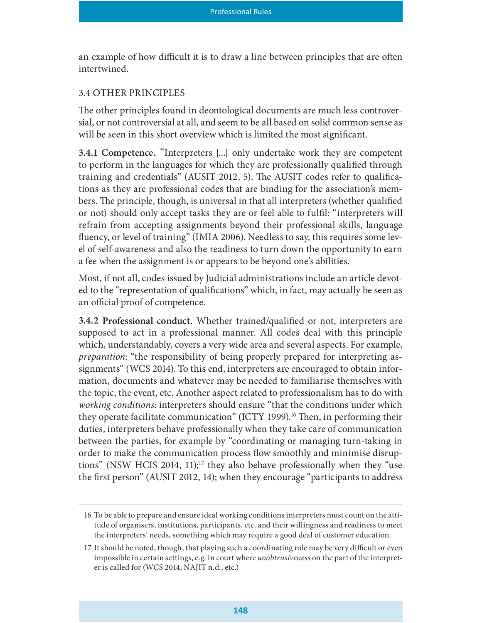an example of how difficult it is to draw a line between principles that are often intertwined.

#### 3.4 OTHER PRINCIPLES

The other principles found in deontological documents are much less controversial, or not controversial at all, and seem to be all based on solid common sense as will be seen in this short overview which is limited the most significant.

3.4.1 Competence. "Interpreters [...] only undertake work they are competent to perform in the languages for which they are professionally qualified through training and credentials" (AUSIT 2012, 5). The AUSIT codes refer to qualifications as they are professional codes that are binding for the association's members. The principle, though, is universal in that all interpreters (whether qualified or not) should only accept tasks they are or feel able to fulfil: "interpreters will refrain from accepting assignments beyond their professional skills, language fluency, or level of training" (IMIA 2006). Needless to say, this requires some level of self-awareness and also the readiness to turn down the opportunity to earn a fee when the assignment is or appears to be beyond one's abilities.

Most, if not all, codes issued by Judicial administrations include an article devoted to the "representation of qualifications" which, in fact, may actually be seen as an official proof of competence.

3.4.2 Professional conduct. Whether trained/qualified or not, interpreters are supposed to act in a professional manner. All codes deal with this principle which, understandably, covers a very wide area and several aspects. For example, preparation: "the responsibility of being properly prepared for interpreting assignments" (WCS 2014). To this end, interpreters are encouraged to obtain information, documents and whatever may be needed to familiarise themselves with the topic, the event, etc. Another aspect related to professionalism has to do with working conditions: interpreters should ensure "that the conditions under which they operate facilitate communication" (ICTY 1999).<sup>16</sup> Then, in performing their duties, interpreters behave professionally when they take care of communication between the parties, for example by "coordinating or managing turn-taking in order to make the communication process flow smoothly and minimise disruptions" (NSW HCIS 2014, 11);<sup>17</sup> they also behave professionally when they "use the first person" (AUSIT 2012, 14); when they encourage "participants to address

<sup>16</sup> To be able to prepare and ensure ideal working conditions interpreters must count on the attitude of organisers, institutions, participants, etc. and their willingness and readiness to meet the interpreters' needs, something which may require a good deal of customer education.

<sup>17</sup> It should be noted, though, that playing such a coordinating role may be very difficult or even impossible in certain settings, e.g. in court where unobtrusiveness on the part of the interpreter is called for (WCS 2014; NAJIT n.d., etc.)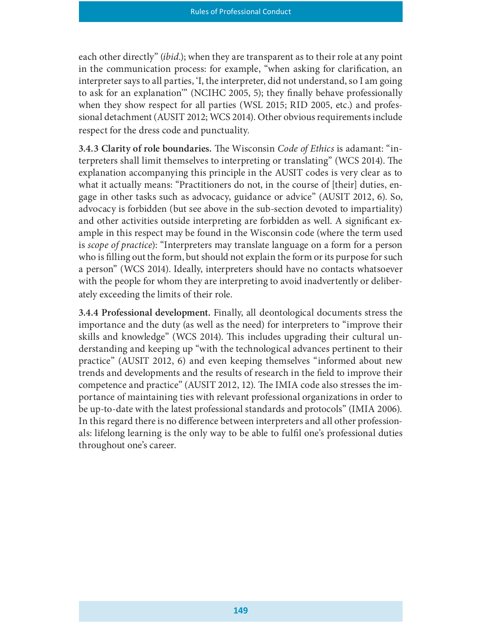each other directly" *(ibid.)*; when they are transparent as to their role at any point in the communication process: for example, "when asking for clarification, an interpreter says to all parties, 'I, the interpreter, did not understand, so I am going to ask for an explanation" (NCIHC 2005, 5); they finally behave professionally when they show respect for all parties (WSL 2015; RID 2005, etc.) and professional detachment (AUSIT 2012; WCS 2014). Other obvious requirements include respect for the dress code and punctuality.

3.4.3 Clarity of role boundaries. The Wisconsin Code of Ethics is adamant: "interpreters shall limit themselves to interpreting or translating" (WCS 2014). The explanation accompanying this principle in the AUSIT codes is very clear as to what it actually means: "Practitioners do not, in the course of [their] duties, engage in other tasks such as advocacy, guidance or advice" (AUSIT 2012, 6). So, advocacy is forbidden (but see above in the sub-section devoted to impartiality) and other activities outside interpreting are forbidden as well. A signicant example in this respect may be found in the Wisconsin code (where the term used is scope of practice): "Interpreters may translate language on a form for a person who is filling out the form, but should not explain the form or its purpose for such a person" (WCS 2014). Ideally, interpreters should have no contacts whatsoever with the people for whom they are interpreting to avoid inadvertently or deliberately exceeding the limits of their role.

3.4.4 Professional development. Finally, all deontological documents stress the importance and the duty (as well as the need) for interpreters to "improve their skills and knowledge" (WCS 2014). This includes upgrading their cultural understanding and keeping up "with the technological advances pertinent to their practice" (AUSIT 2012, 6) and even keeping themselves "informed about new trends and developments and the results of research in the field to improve their competence and practice" (AUSIT 2012, 12). The IMIA code also stresses the importance of maintaining ties with relevant professional organizations in order to be up-to-date with the latest professional standards and protocols" (IMIA 2006). In this regard there is no difference between interpreters and all other professionals: lifelong learning is the only way to be able to fulfil one's professional duties throughout one's career.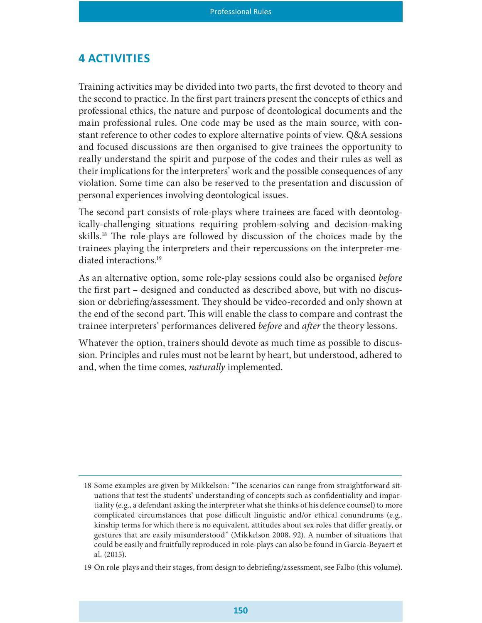#### **4 ACTIVITIES**

Training activities may be divided into two parts, the first devoted to theory and the second to practice. In the first part trainers present the concepts of ethics and professional ethics, the nature and purpose of deontological documents and the main professional rules. One code may be used as the main source, with constant reference to other codes to explore alternative points of view. Q&A sessions and focused discussions are then organised to give trainees the opportunity to really understand the spirit and purpose of the codes and their rules as well as their implications for the interpreters' work and the possible consequences of any violation. Some time can also be reserved to the presentation and discussion of personal experiences involving deontological issues.

The second part consists of role-plays where trainees are faced with deontologically-challenging situations requiring problem-solving and decision-making skills.<sup>18</sup> The role-plays are followed by discussion of the choices made by the trainees playing the interpreters and their repercussions on the interpreter-mediated interactions.<sup>19</sup>

As an alternative option, some role-play sessions could also be organised before the first part – designed and conducted as described above, but with no discussion or debriefing/assessment. They should be video-recorded and only shown at the end of the second part. This will enable the class to compare and contrast the trainee interpreters' performances delivered *before* and *after* the theory lessons.

Whatever the option, trainers should devote as much time as possible to discussion. Principles and rules must not be learnt by heart, but understood, adhered to and, when the time comes, *naturally* implemented.

<sup>18</sup> Some examples are given by Mikkelson: "The scenarios can range from straightforward situations that test the students' understanding of concepts such as condentiality and impartiality (e.g., a defendant asking the interpreter what she thinks of his defence counsel) to more complicated circumstances that pose difficult linguistic and/or ethical conundrums (e.g., kinship terms for which there is no equivalent, attitudes about sex roles that differ greatly, or gestures that are easily misunderstood" (Mikkelson 2008, 92). A number of situations that could be easily and fruitfully reproduced in role-plays can also be found in García-Beyaert et al. (2015).

<sup>19</sup> On role-plays and their stages, from design to debrieng/assessment, see Falbo (this volume).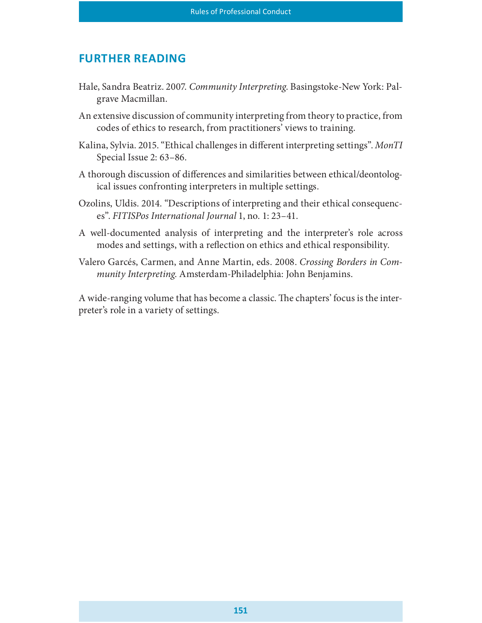## **FURTHER READING**

- Hale, Sandra Beatriz. 2007. Community Interpreting. Basingstoke-New York: Palgrave Macmillan.
- An extensive discussion of community interpreting from theory to practice, from codes of ethics to research, from practitioners' views to training.
- Kalina, Sylvia. 2015. "Ethical challenges in different interpreting settings". MonTI Special Issue 2: 63–86.
- A thorough discussion of differences and similarities between ethical/deontological issues confronting interpreters in multiple settings.
- Ozolins, Uldis. 2014. "Descriptions of interpreting and their ethical consequences". FITISPos International Journal 1, no. 1: 23–41.
- A well-documented analysis of interpreting and the interpreter's role across modes and settings, with a reflection on ethics and ethical responsibility.
- Valero Garcés, Carmen, and Anne Martin, eds. 2008. Crossing Borders in Community Interpreting. Amsterdam-Philadelphia: John Benjamins.

A wide-ranging volume that has become a classic. The chapters' focus is the interpreter's role in a variety of settings.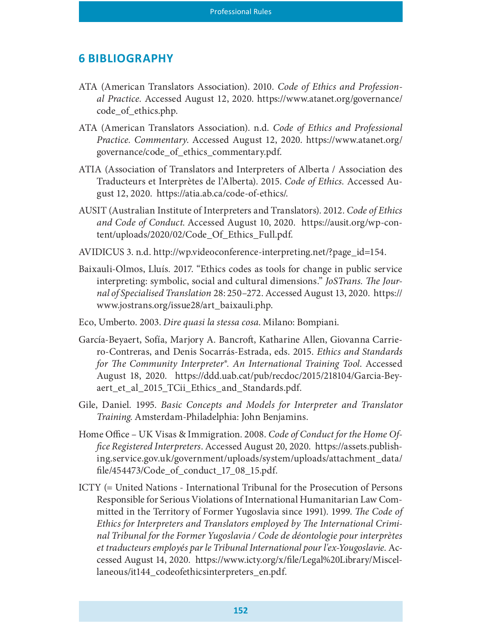## 6 BIBLIOGRAPHY

- ATA (American Translators Association). 2010. Code of Ethics and Professional Practice. Accessed August 12, 2020. https://www.atanet.org/governance/ code\_of\_ethics.php.
- ATA (American Translators Association). n.d. Code of Ethics and Professional Practice. Commentary. Accessed August 12, 2020. https://www.atanet.org/ governance/code\_of\_ethics\_commentary.pdf.
- ATIA (Association of Translators and Interpreters of Alberta / Association des Traducteurs et Interprètes de l'Alberta). 2015. Code of Ethics. Accessed August 12, 2020. https://atia.ab.ca/code-of-ethics/.
- AUSIT (Australian Institute of Interpreters and Translators). 2012. Code of Ethics and Code of Conduct. Accessed August 10, 2020. https://ausit.org/wp-content/uploads/2020/02/Code\_Of\_Ethics\_Full.pdf.
- AVIDICUS 3. n.d. http://wp.videoconference-interpreting.net/?page\_id=154.
- Baixauli-Olmos, Lluís. 2017. "Ethics codes as tools for change in public service interpreting: symbolic, social and cultural dimensions." JoSTrans. The Journal of Specialised Translation 28: 250–272. Accessed August 13, 2020. https:// www.jostrans.org/issue28/art\_baixauli.php.
- Eco, Umberto. 2003. Dire quasi la stessa cosa. Milano: Bompiani.
- García-Beyaert, Sofía, Marjory A. Bancroft, Katharine Allen, Giovanna Carriero-Contreras, and Denis Socarrás-Estrada, eds. 2015. Ethics and Standards for The Community Interpreter®. An International Training Tool. Accessed August 18, 2020. https://ddd.uab.cat/pub/recdoc/2015/218104/Garcia-Beyaert\_et\_al\_2015\_TCii\_Ethics\_and\_Standards.pdf.
- Gile, Daniel. 1995. Basic Concepts and Models for Interpreter and Translator Training. Amsterdam-Philadelphia: John Benjamins.
- Home Office UK Visas & Immigration. 2008. Code of Conduct for the Home Office Registered Interpreters. Accessed August 20, 2020. https://assets.publishing.service.gov.uk/government/uploads/system/uploads/attachment\_data/ le/454473/Code\_of\_conduct\_17\_08\_15.pdf.
- ICTY (= United Nations International Tribunal for the Prosecution of Persons Responsible for Serious Violations of International Humanitarian Law Committed in the Territory of Former Yugoslavia since 1991). 1999. The Code of Ethics for Interpreters and Translators employed by The International Criminal Tribunal for the Former Yugoslavia / Code de déontologie pour interprètes et traducteurs employés par le Tribunal International pour l'ex-Yougoslavie. Accessed August 14, 2020. https://www.icty.org/x/file/Legal%20Library/Miscellaneous/it144\_codeofethicsinterpreters\_en.pdf.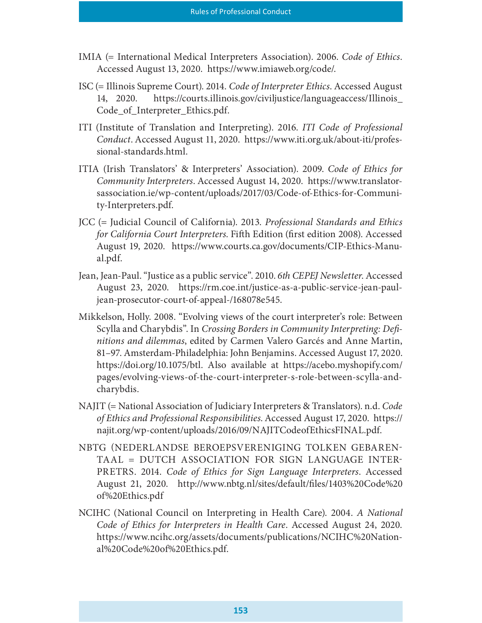- IMIA (= International Medical Interpreters Association). 2006. Code of Ethics. Accessed August 13, 2020. https://www.imiaweb.org/code/.
- ISC (= Illinois Supreme Court). 2014. Code of Interpreter Ethics. Accessed August 14, 2020. https://courts.illinois.gov/civiljustice/languageaccess/Illinois\_ Code\_of\_Interpreter\_Ethics.pdf.
- ITI (Institute of Translation and Interpreting). 2016. ITI Code of Professional Conduct. Accessed August 11, 2020. https://www.iti.org.uk/about-iti/professional-standards.html.
- ITIA (Irish Translators' & Interpreters' Association). 2009. Code of Ethics for Community Interpreters. Accessed August 14, 2020. https://www.translatorsassociation.ie/wp-content/uploads/2017/03/Code-of-Ethics-for-Community-Interpreters.pdf.
- JCC (= Judicial Council of California). 2013. Professional Standards and Ethics for California Court Interpreters. Fifth Edition (first edition 2008). Accessed August 19, 2020. https://www.courts.ca.gov/documents/CIP-Ethics-Manual.pdf.
- Jean, Jean-Paul. "Justice as a public service". 2010. 6th CEPEJ Newsletter. Accessed August 23, 2020. https://rm.coe.int/justice-as-a-public-service-jean-pauljean-prosecutor-court-of-appeal-/168078e545.
- Mikkelson, Holly. 2008. "Evolving views of the court interpreter's role: Between Scylla and Charybdis". In Crossing Borders in Community Interpreting: Definitions and dilemmas, edited by Carmen Valero Garcés and Anne Martin, 81–97. Amsterdam-Philadelphia: John Benjamins. Accessed August 17, 2020. https://doi.org/10.1075/btl. Also available at https://acebo.myshopify.com/ pages/evolving-views-of-the-court-interpreter-s-role-between-scylla-andcharybdis.
- NAJIT (= National Association of Judiciary Interpreters & Translators). n.d. Code of Ethics and Professional Responsibilities. Accessed August 17, 2020. https:// najit.org/wp-content/uploads/2016/09/NAJITCodeofEthicsFINAL.pdf.
- NBTG (NEDERLANDSE BEROEPSVERENIGING TOLKEN GEBAREN-TAAL = DUTCH ASSOCIATION FOR SIGN LANGUAGE INTER§ PRETRS. 2014. Code of Ethics for Sign Language Interpreters. Accessed August 21, 2020. http://www.nbtg.nl/sites/default/files/1403%20Code%20 of%20Ethics.pdf
- NCIHC (National Council on Interpreting in Health Care). 2004. A National Code of Ethics for Interpreters in Health Care. Accessed August 24, 2020. https://www.ncihc.org/assets/documents/publications/NCIHC%20National%20Code%20of%20Ethics.pdf.